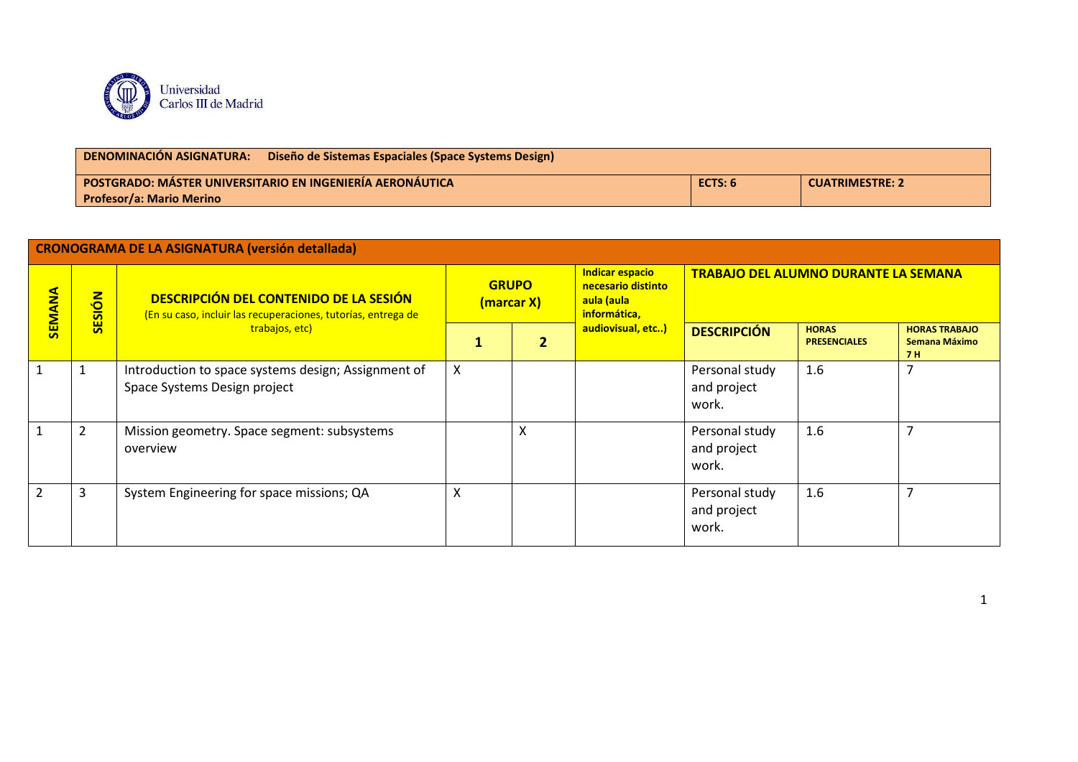

| <b>DENOMINACION ASIGNATURA:</b><br>Diseño de Sistemas Espaciales (Space Systems Design) |         |                        |  |  |  |  |
|-----------------------------------------------------------------------------------------|---------|------------------------|--|--|--|--|
| <b>POSTGRADO: MÁSTER UNIVERSITARIO EN INGENIERÍA AERONÁUTICA</b> I                      | ECTS: 6 | <b>CUATRIMESTRE: 2</b> |  |  |  |  |
| <b>Profesor/a: Mario Merino</b>                                                         |         |                        |  |  |  |  |

|                | CRONOGRAMA DE LA ASIGNATURA (versión detallada) |                                                                                                         |   |                            |                                                                            |                                        |                                                                                                                                            |                                       |  |
|----------------|-------------------------------------------------|---------------------------------------------------------------------------------------------------------|---|----------------------------|----------------------------------------------------------------------------|----------------------------------------|--------------------------------------------------------------------------------------------------------------------------------------------|---------------------------------------|--|
| <b>SEMANA</b>  | ESIÓN                                           | DESCRIPCIÓN DEL CONTENIDO DE LA SESIÓN<br>(En su caso, incluir las recuperaciones, tutorías, entrega de |   | <b>GRUPO</b><br>(marcar X) | <b>Indicar espacio</b><br>necesario distinto<br>aula (aula<br>informática, |                                        |                                                                                                                                            |                                       |  |
|                |                                                 | trabajos, etc)                                                                                          | 1 |                            | audiovisual, etc)                                                          | <b>DESCRIPCIÓN</b>                     | <b>TRABAJO DEL ALUMNO DURANTE LA SEMANA</b><br><b>HORAS</b><br><b>PRESENCIALES</b><br>7 H<br>1.6<br>7<br>7<br>1.6<br>$\overline{7}$<br>1.6 | <b>HORAS TRABAJO</b><br>Semana Máximo |  |
| $\mathbf{1}$   |                                                 | Introduction to space systems design; Assignment of<br>Space Systems Design project                     | X |                            |                                                                            | Personal study<br>and project<br>work. |                                                                                                                                            |                                       |  |
| $\mathbf{1}$   | 2                                               | Mission geometry. Space segment: subsystems<br>overview                                                 |   | x                          |                                                                            | Personal study<br>and project<br>work. |                                                                                                                                            |                                       |  |
| $\overline{2}$ | 3                                               | System Engineering for space missions; QA                                                               | X |                            |                                                                            | Personal study<br>and project<br>work. |                                                                                                                                            |                                       |  |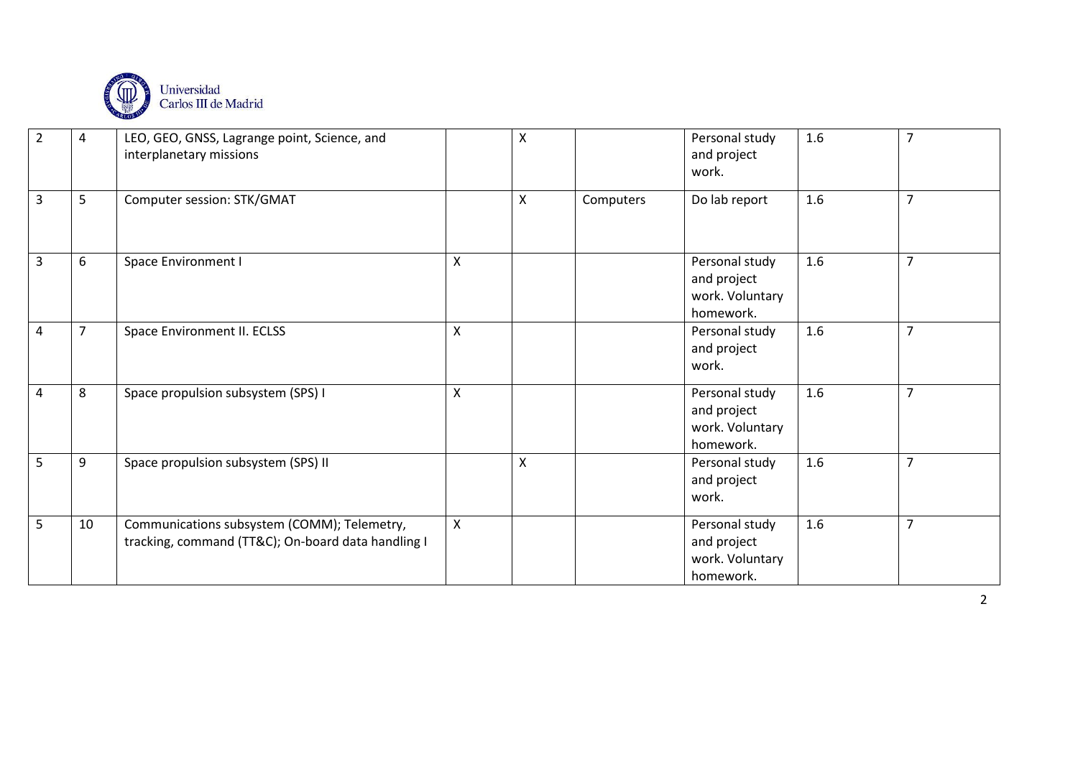

| $\overline{2}$ | 4              | LEO, GEO, GNSS, Lagrange point, Science, and<br>interplanetary missions                           |   | $\pmb{\mathsf{X}}$ |           | Personal study<br>and project<br>work.                        | 1.6 | $\overline{7}$ |
|----------------|----------------|---------------------------------------------------------------------------------------------------|---|--------------------|-----------|---------------------------------------------------------------|-----|----------------|
| 3              | 5              | Computer session: STK/GMAT                                                                        |   | X                  | Computers | Do lab report                                                 | 1.6 | $\overline{7}$ |
| 3              | 6              | Space Environment I                                                                               | Χ |                    |           | Personal study<br>and project<br>work. Voluntary<br>homework. | 1.6 | $\overline{7}$ |
| $\overline{4}$ | $\overline{7}$ | Space Environment II. ECLSS                                                                       | X |                    |           | Personal study<br>and project<br>work.                        | 1.6 | $\overline{7}$ |
| $\overline{4}$ | 8              | Space propulsion subsystem (SPS) I                                                                | Χ |                    |           | Personal study<br>and project<br>work. Voluntary<br>homework. | 1.6 | $\overline{7}$ |
| 5              | 9              | Space propulsion subsystem (SPS) II                                                               |   | X                  |           | Personal study<br>and project<br>work.                        | 1.6 | $\overline{7}$ |
| 5              | 10             | Communications subsystem (COMM); Telemetry,<br>tracking, command (TT&C); On-board data handling I | X |                    |           | Personal study<br>and project<br>work. Voluntary<br>homework. | 1.6 | $\overline{7}$ |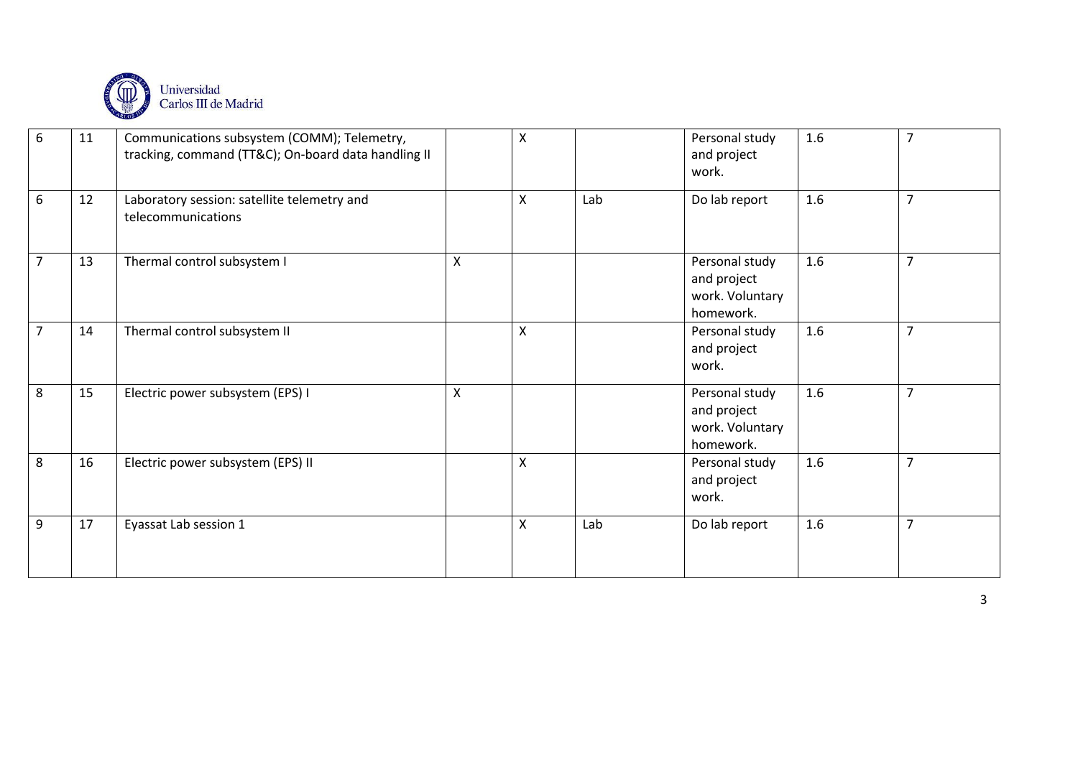

| 6              | 11 | Communications subsystem (COMM); Telemetry,<br>tracking, command (TT&C); On-board data handling II |   | $\pmb{\mathsf{X}}$ |     | Personal study<br>and project<br>work.                        | 1.6 | $\overline{7}$ |
|----------------|----|----------------------------------------------------------------------------------------------------|---|--------------------|-----|---------------------------------------------------------------|-----|----------------|
| 6              | 12 | Laboratory session: satellite telemetry and<br>telecommunications                                  |   | $\pmb{\mathsf{X}}$ | Lab | Do lab report                                                 | 1.6 | $\overline{7}$ |
| $\overline{7}$ | 13 | Thermal control subsystem I                                                                        | Χ |                    |     | Personal study<br>and project<br>work. Voluntary<br>homework. | 1.6 | $\overline{7}$ |
| $\overline{7}$ | 14 | Thermal control subsystem II                                                                       |   | X                  |     | Personal study<br>and project<br>work.                        | 1.6 | $\overline{7}$ |
| 8              | 15 | Electric power subsystem (EPS) I                                                                   | X |                    |     | Personal study<br>and project<br>work. Voluntary<br>homework. | 1.6 | $\overline{7}$ |
| 8              | 16 | Electric power subsystem (EPS) II                                                                  |   | $\pmb{\mathsf{X}}$ |     | Personal study<br>and project<br>work.                        | 1.6 | $\overline{7}$ |
| 9              | 17 | Eyassat Lab session 1                                                                              |   | X                  | Lab | Do lab report                                                 | 1.6 | $\overline{7}$ |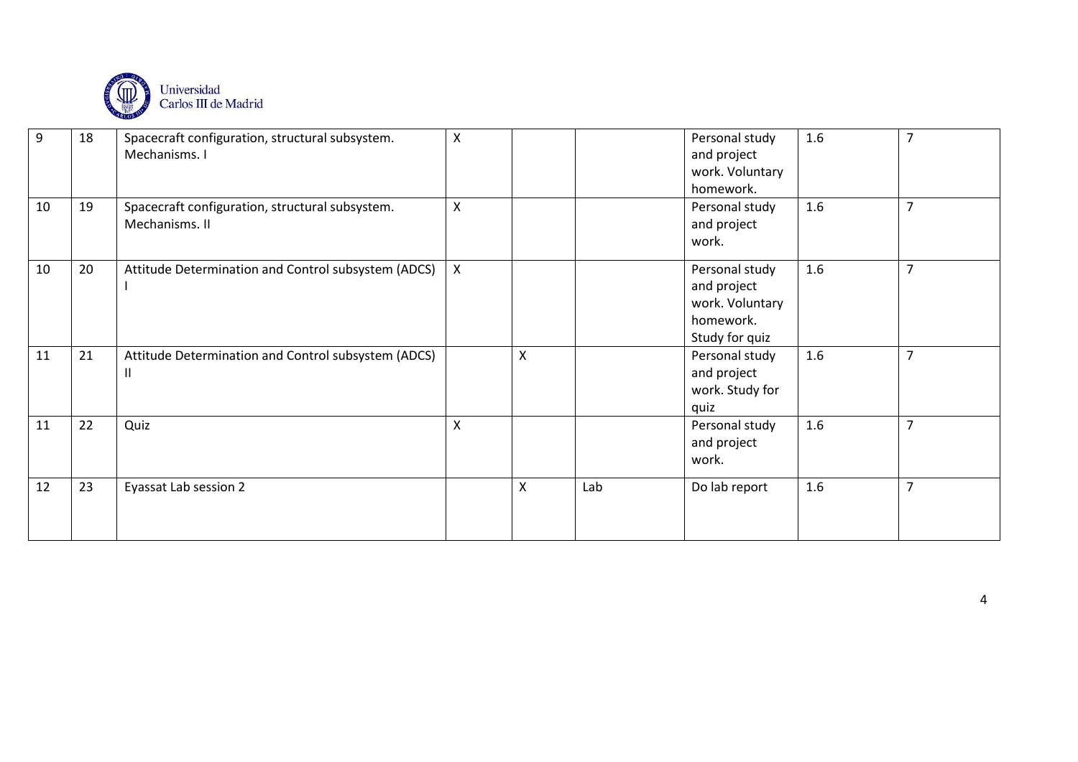

| 9  | 18 | Spacecraft configuration, structural subsystem.<br>Mechanisms. I             | X                         |   |     | Personal study<br>and project<br>work. Voluntary<br>homework.                   | 1.6 | $\overline{7}$ |
|----|----|------------------------------------------------------------------------------|---------------------------|---|-----|---------------------------------------------------------------------------------|-----|----------------|
| 10 | 19 | Spacecraft configuration, structural subsystem.<br>Mechanisms. II            | $\boldsymbol{\mathsf{X}}$ |   |     | Personal study<br>and project<br>work.                                          | 1.6 | $\overline{7}$ |
| 10 | 20 | Attitude Determination and Control subsystem (ADCS)                          | $\mathsf{X}$              |   |     | Personal study<br>and project<br>work. Voluntary<br>homework.<br>Study for quiz | 1.6 | $\overline{7}$ |
| 11 | 21 | Attitude Determination and Control subsystem (ADCS)<br>$\mathbf{\mathsf{I}}$ |                           | X |     | Personal study<br>and project<br>work. Study for<br>quiz                        | 1.6 | $\overline{7}$ |
| 11 | 22 | Quiz                                                                         | X                         |   |     | Personal study<br>and project<br>work.                                          | 1.6 | $\overline{7}$ |
| 12 | 23 | Eyassat Lab session 2                                                        |                           | X | Lab | Do lab report                                                                   | 1.6 | $\overline{7}$ |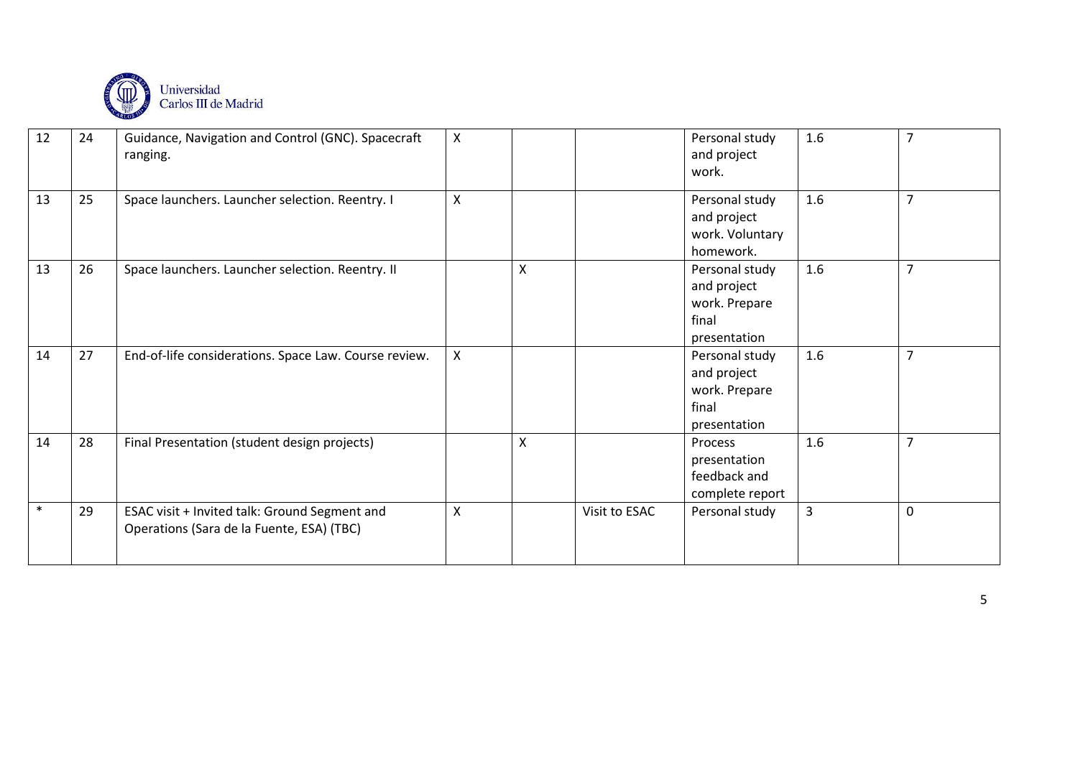

| 12     | 24 | Guidance, Navigation and Control (GNC). Spacecraft<br>ranging.                             | X               |   |               | Personal study<br>and project<br>work.                                  | 1.6 | $\overline{7}$   |
|--------|----|--------------------------------------------------------------------------------------------|-----------------|---|---------------|-------------------------------------------------------------------------|-----|------------------|
| 13     | 25 | Space launchers. Launcher selection. Reentry. I                                            | $\mathsf{\chi}$ |   |               | Personal study<br>and project<br>work. Voluntary<br>homework.           | 1.6 | $\overline{7}$   |
| 13     | 26 | Space launchers. Launcher selection. Reentry. II                                           |                 | Χ |               | Personal study<br>and project<br>work. Prepare<br>final<br>presentation | 1.6 | $\overline{7}$   |
| 14     | 27 | End-of-life considerations. Space Law. Course review.                                      | $\mathsf{X}$    |   |               | Personal study<br>and project<br>work. Prepare<br>final<br>presentation | 1.6 | $\overline{7}$   |
| 14     | 28 | Final Presentation (student design projects)                                               |                 | X |               | Process<br>presentation<br>feedback and<br>complete report              | 1.6 | $\overline{7}$   |
| $\ast$ | 29 | ESAC visit + Invited talk: Ground Segment and<br>Operations (Sara de la Fuente, ESA) (TBC) | X               |   | Visit to ESAC | Personal study                                                          | 3   | $\boldsymbol{0}$ |